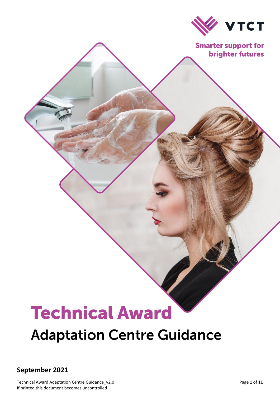

**Smarter support for brighter futures** 

# **Technical Award Adaptation Centre Guidance**

**September 2021**

Technical Award Adaptation Centre Guidance\_v If printed this document becomes uncontrolled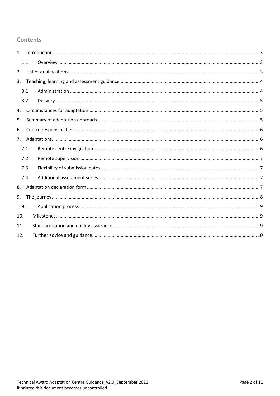#### **Contents**

|     | 1.1. |  |
|-----|------|--|
| 2.  |      |  |
| 3.  |      |  |
|     | 3.1. |  |
|     | 3.2. |  |
| 4.  |      |  |
| 5.  |      |  |
| 6.  |      |  |
| 7.  |      |  |
|     | 7.1. |  |
|     | 7.2. |  |
|     | 7.3. |  |
|     | 7.4. |  |
| 8.  |      |  |
| 9.  |      |  |
|     | 9.1. |  |
| 10. |      |  |
| 11. |      |  |
| 12. |      |  |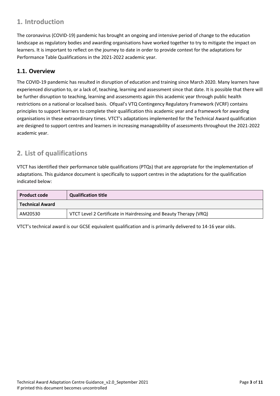## <span id="page-2-0"></span>**1. Introduction**

The coronavirus (COVID-19) pandemic has brought an ongoing and intensive period of change to the education landscape as regulatory bodies and awarding organisations have worked together to try to mitigate the impact on learners. It is important to reflect on the journey to date in order to provide context for the adaptations for Performance Table Qualifications in the 2021-2022 academic year.

#### <span id="page-2-1"></span>**1.1. Overview**

The COVID-19 pandemic has resulted in disruption of education and training since March 2020. Many learners have experienced disruption to, or a lack of, teaching, learning and assessment since that date. It is possible that there will be further disruption to teaching, learning and assessments again this academic year through public health restrictions on a national or localised basis. Ofqual's VTQ Contingency Regulatory Framework (VCRF) contains principles to support learners to complete their qualification this academic year and a framework for awarding organisations in these extraordinary times. VTCT's adaptations implemented for the Technical Award qualification are designed to support centres and learners in increasing manageability of assessments throughout the 2021-2022 academic year.

# <span id="page-2-2"></span>**2. List of qualifications**

VTCT has identified their performance table qualifications (PTQs) that are appropriate for the implementation of adaptations. This guidance document is specifically to support centres in the adaptations for the qualification indicated below:

| <b>Product code</b> | <b>Qualification title</b>                                        |  |  |
|---------------------|-------------------------------------------------------------------|--|--|
| Technical Award     |                                                                   |  |  |
| AM20530             | VTCT Level 2 Certificate in Hairdressing and Beauty Therapy (VRQ) |  |  |

VTCT's technical award is our GCSE equivalent qualification and is primarily delivered to 14-16 year olds.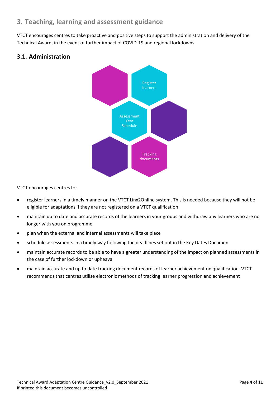# <span id="page-3-0"></span>**3. Teaching, learning and assessment guidance**

VTCT encourages centres to take proactive and positive steps to support the administration and delivery of the Technical Award, in the event of further impact of COVID-19 and regional lockdowns.

#### <span id="page-3-1"></span>**3.1. Administration**



VTCT encourages centres to:

- register learners in a timely manner on the VTCT Linx2Online system. This is needed because they will not be eligible for adaptations if they are not registered on a VTCT qualification
- maintain up to date and accurate records of the learners in your groups and withdraw any learners who are no longer with you on programme
- plan when the external and internal assessments will take place
- schedule assessments in a timely way following the deadlines set out in the Key Dates Document
- maintain accurate records to be able to have a greater understanding of the impact on planned assessments in the case of further lockdown or upheaval
- maintain accurate and up to date tracking document records of learner achievement on qualification. VTCT recommends that centres utilise electronic methods of tracking learner progression and achievement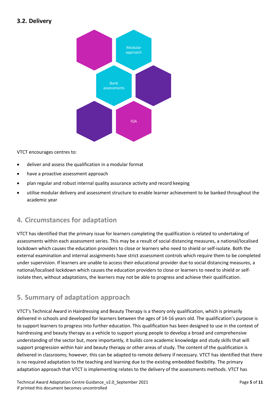#### <span id="page-4-0"></span>**3.2. Delivery**



VTCT encourages centres to:

- deliver and assess the qualification in a modular format
- have a proactive assessment approach
- plan regular and robust internal quality assurance activity and record keeping
- utilise modular delivery and assessment structure to enable learner achievement to be banked throughout the academic year

## <span id="page-4-1"></span>**4. Circumstances for adaptation**

VTCT has identified that the primary issue for learners completing the qualification is related to undertaking of assessments within each assessment series. This may be a result of social distancing measures, a national/localised lockdown which causes the education providers to close or learners who need to shield or self-isolate. Both the external examination and internal assignments have strict assessment controls which require them to be completed under supervision. If learners are unable to access their educational provider due to social distancing measures, a national/localised lockdown which causes the education providers to close or learners to need to shield or selfisolate then, without adaptations, the learners may not be able to progress and achieve their qualification.

## <span id="page-4-2"></span>**5. Summary of adaptation approach**

VTCT's Technical Award in Hairdressing and Beauty Therapy is a theory only qualification, which is primarily delivered in schools and developed for learners between the ages of 14-16 years old. The qualification's purpose is to support learners to progress into further education. This qualification has been designed to use in the context of hairdressing and beauty therapy as a vehicle to support young people to develop a broad and comprehensive understanding of the sector but, more importantly, it builds core academic knowledge and study skills that will support progression within hair and beauty therapy or other areas of study. The content of the qualification is delivered in classrooms; however, this can be adapted to remote delivery if necessary. VTCT has identified that there is no required adaptation to the teaching and learning due to the existing embedded flexibility. The primary adaptation approach that VTCT is implementing relates to the delivery of the assessments methods. VTCT has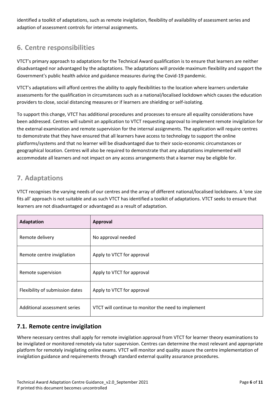identified a toolkit of adaptations, such as remote invigilation, flexibility of availability of assessment series and adaption of assessment controls for internal assignments.

# <span id="page-5-0"></span>**6. Centre responsibilities**

VTCT's primary approach to adaptations for the Technical Award qualification is to ensure that learners are neither disadvantaged nor advantaged by the adaptations. The adaptations will provide maximum flexibility and support the Government's public health advice and guidance measures during the Covid-19 pandemic.

VTCT's adaptations will afford centres the ability to apply flexibilities to the location where learners undertake assessments for the qualification in circumstances such as a national/localised lockdown which causes the education providers to close, social distancing measures or if learners are shielding or self-isolating.

To support this change, VTCT has additional procedures and processes to ensure all equality considerations have been addressed. Centres will submit an application to VTCT requesting approval to implement remote invigilation for the external examination and remote supervision for the internal assignments. The application will require centres to demonstrate that they have ensured that all learners have access to technology to support the online platforms/systems and that no learner will be disadvantaged due to their socio-economic circumstances or geographical location. Centres will also be required to demonstrate that any adaptations implemented will accommodate all learners and not impact on any access arrangements that a learner may be eligible for.

# <span id="page-5-1"></span>**7. Adaptations**

VTCT recognises the varying needs of our centres and the array of different national/localised lockdowns. A 'one size fits all' approach is not suitable and as such VTCT has identified a toolkit of adaptations. VTCT seeks to ensure that learners are not disadvantaged or advantaged as a result of adaptation.

| Adaptation                      | Approval                                            |
|---------------------------------|-----------------------------------------------------|
| Remote delivery                 | No approval needed                                  |
| Remote centre invigilation      | Apply to VTCT for approval                          |
| Remote supervision              | Apply to VTCT for approval                          |
| Flexibility of submission dates | Apply to VTCT for approval                          |
| Additional assessment series    | VTCT will continue to monitor the need to implement |

## <span id="page-5-2"></span>**7.1. Remote centre invigilation**

Where necessary centres shall apply for remote invigilation approval from VTCT for learner theory examinations to be invigilated or monitored remotely via tutor supervision. Centres can determine the most relevant and appropriate platform for remotely invigilating online exams. VTCT will monitor and quality assure the centre implementation of invigilation guidance and requirements through standard external quality assurance procedures.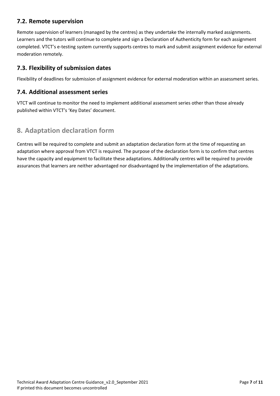#### <span id="page-6-0"></span>**7.2. Remote supervision**

Remote supervision of learners (managed by the centres) as they undertake the internally marked assignments. Learners and the tutors will continue to complete and sign a Declaration of Authenticity form for each assignment completed. VTCT's e-testing system currently supports centres to mark and submit assignment evidence for external moderation remotely.

#### <span id="page-6-1"></span>**7.3. Flexibility of submission dates**

Flexibility of deadlines for submission of assignment evidence for external moderation within an assessment series.

#### <span id="page-6-2"></span>**7.4. Additional assessment series**

VTCT will continue to monitor the need to implement additional assessment series other than those already published within VTCT's 'Key Dates' document.

## <span id="page-6-3"></span>**8. Adaptation declaration form**

Centres will be required to complete and submit an adaptation declaration form at the time of requesting an adaptation where approval from VTCT is required. The purpose of the declaration form is to confirm that centres have the capacity and equipment to facilitate these adaptations. Additionally centres will be required to provide assurances that learners are neither advantaged nor disadvantaged by the implementation of the adaptations.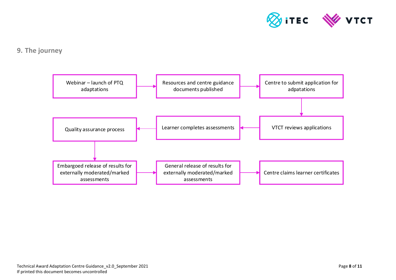

### **9. The journey**

<span id="page-7-0"></span>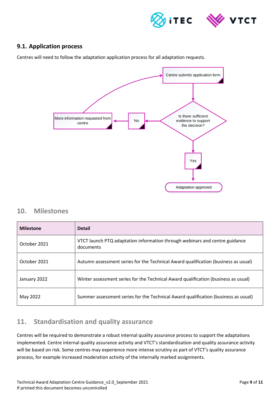

#### <span id="page-8-0"></span>**9.1. Application process**

Centres will need to follow the adaptation application process for all adaptation requests.



#### <span id="page-8-1"></span>**10. Milestones**

| <b>Milestone</b> | <b>Detail</b>                                                                            |
|------------------|------------------------------------------------------------------------------------------|
| October 2021     | VTCT launch PTQ adaptation information through webinars and centre guidance<br>documents |
| October 2021     | Autumn assessment series for the Technical Award qualification (business as usual)       |
| January 2022     | Winter assessment series for the Technical Award qualification (business as usual)       |
| May 2022         | Summer assessment series for the Technical Award qualification (business as usual)       |

#### <span id="page-8-2"></span>**11. Standardisation and quality assurance**

Centres will be required to demonstrate a robust internal quality assurance process to support the adaptations implemented. Centre internal quality assurance activity and VTCT's standardisation and quality assurance activity will be based on risk. Some centres may experience more intense scrutiny as part of VTCT's quality assurance process, for example increased moderation activity of the internally marked assignments.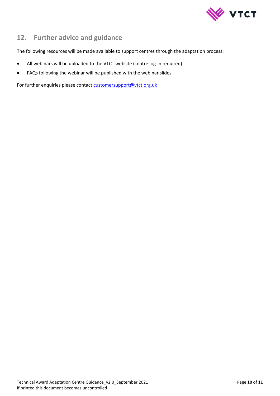

## <span id="page-9-0"></span>**12. Further advice and guidance**

The following resources will be made available to support centres through the adaptation process:

- All webinars will be uploaded to the VTCT website (centre log-in required)
- FAQs following the webinar will be published with the webinar slides

For further enquiries please contact customersupport@vtct.org.uk